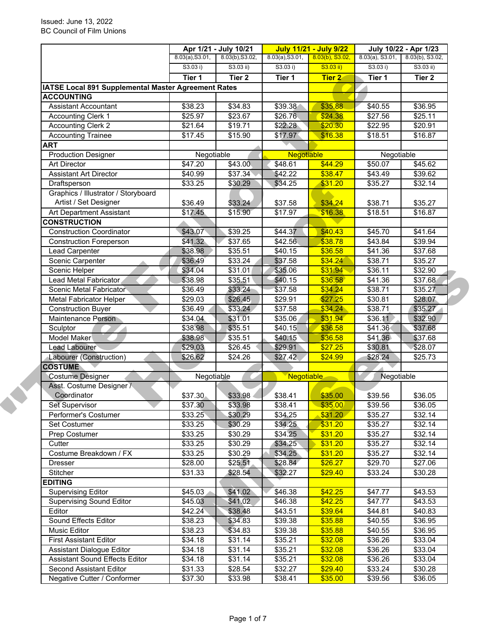|                                                              | Apr 1/21 - July 10/21                                                                          |                   | <b>July 11/21 - July 9/22</b> |               | July 10/22 - Apr 1/23 |                     |  |
|--------------------------------------------------------------|------------------------------------------------------------------------------------------------|-------------------|-------------------------------|---------------|-----------------------|---------------------|--|
|                                                              | 8.03(a), S3.01,<br>8.03(b), S3.02,<br>$8.03(b)$ , S3.02,<br>8.03(a), S3.01,<br>8.03(a), S3.01, |                   | 8.03(b), S3.02,               |               |                       |                     |  |
|                                                              | S3.03 i)                                                                                       | $S3.03$ ii)       | S3.03 i)                      | S3.03 ii)     | S3.03 i)              | $S3.03$ ii)         |  |
|                                                              | Tier 1                                                                                         | Tier <sub>2</sub> | Tier 1                        | <b>Tier 2</b> | Tier 1                | Tier 2              |  |
| IATSE Local 891 Supplemental Master Agreement Rates          |                                                                                                |                   |                               |               |                       |                     |  |
| <b>ACCOUNTING</b>                                            |                                                                                                |                   |                               |               |                       |                     |  |
| <b>Assistant Accountant</b>                                  | \$38.23                                                                                        | \$34.83           | \$39.38                       | \$35.88       | \$40.55               | \$36.95             |  |
| <b>Accounting Clerk 1</b>                                    | \$25.97                                                                                        | \$23.67           | \$26.76                       | \$24.38       | \$27.56               | \$25.11             |  |
| <b>Accounting Clerk 2</b>                                    | \$21.64                                                                                        | \$19.71           | \$22.28                       | \$20.30       | \$22.95               | \$20.91             |  |
| <b>Accounting Trainee</b>                                    | \$17.45                                                                                        | \$15.90           | \$17.97                       | \$16.38       | \$18.51               | $\overline{$}16.87$ |  |
| <b>ART</b>                                                   |                                                                                                |                   |                               |               |                       |                     |  |
| <b>Production Designer</b>                                   | Negotiable                                                                                     |                   | <b>Negotiable</b>             |               | Negotiable            |                     |  |
| <b>Art Director</b>                                          | \$47.20                                                                                        | \$43.00           | \$48.61                       | \$44.29       | \$50.07               | \$45.62             |  |
| <b>Assistant Art Director</b>                                | \$40.99                                                                                        | \$37.34           | \$42.22                       | \$38.47       | \$43.49               | \$39.62             |  |
| Draftsperson                                                 | \$33.25                                                                                        | \$30.29           | \$34.25                       | \$31.20       | \$35.27               | \$32.14             |  |
| Graphics / Illustrator / Storyboard<br>Artist / Set Designer | \$36.49                                                                                        | \$33.24           | \$37.58                       | \$34.24       | \$38.71               | \$35.27             |  |
| Art Department Assistant                                     | \$17.45                                                                                        | \$15.90           | \$17.97                       | \$16.38       | \$18.51               | \$16.87             |  |
| <b>CONSTRUCTION</b>                                          |                                                                                                |                   |                               |               |                       |                     |  |
| <b>Construction Coordinator</b>                              | \$43.07                                                                                        | \$39.25           | \$44.37                       | \$40.43       | \$45.70               | \$41.64             |  |
| <b>Construction Foreperson</b>                               | $\overline{$41.32}$                                                                            | \$37.65           | \$42.56                       | \$38.78       | \$43.84               | \$39.94             |  |
| Lead Carpenter                                               | \$38.98                                                                                        | \$35.51           | \$40.15                       | \$36.58       | \$41.36               | \$37.68             |  |
| Scenic Carpenter                                             | \$36.49                                                                                        | \$33.24           | \$37.58                       | \$34.24       | \$38.71               | \$35.27             |  |
| <b>Scenic Helper</b>                                         | \$34.04                                                                                        | \$31.01           | \$35.06                       | \$31.94       | \$36.11               | \$32.90             |  |
| Lead Metal Fabricator                                        | \$38.98                                                                                        | \$35.51           | \$40.15                       | \$36.58       | \$41.36               | \$37.68             |  |
| Scenic Metal Fabricator                                      | \$36.49                                                                                        | \$33.24           | \$37.58                       | \$34.24       | \$38.71               | \$35.27             |  |
| <b>Metal Fabricator Helper</b>                               | \$29.03                                                                                        | \$26.45           | \$29.91                       | \$27.25       | \$30.81               | \$28.07             |  |
| <b>Construction Buyer</b>                                    | \$36.49                                                                                        | \$33.24           | \$37.58                       | \$34.24       | \$38.71               | \$35.27             |  |
| <b>Maintenance Person</b>                                    | \$34.04                                                                                        | \$31.01           | \$35.06                       | \$31.94       | \$36.11               | \$32.90             |  |
| Sculptor                                                     | \$38.98                                                                                        | \$35.51           | \$40.15                       | \$36.58       | \$41.36               | \$37.68             |  |
| Model Maker                                                  | \$38.98                                                                                        | \$35.51           | \$40.15                       | \$36.58       | \$41.36               | \$37.68             |  |
| Lead Labourer                                                | \$29.03                                                                                        | \$26.45           | \$29.91                       | \$27.25       | \$30.81               | \$28.07             |  |
| Labourer (Construction)                                      | \$26.62                                                                                        | \$24.26           | \$27.42                       | \$24.99       | \$28.24               | \$25.73             |  |
| <b>COSTUME</b>                                               |                                                                                                |                   |                               |               |                       |                     |  |
| <b>Costume Designer</b>                                      |                                                                                                |                   | Negotiable                    |               | Negotiable            |                     |  |
| Asst. Costume Designer /                                     |                                                                                                | Negotiable        |                               |               |                       |                     |  |
| Coordinator                                                  | \$37.30                                                                                        | \$33.98           | \$38.41                       | \$35.00       | \$39.56               | \$36.05             |  |
| Set Supervisor                                               | \$37.30                                                                                        | \$33.98           | \$38.41                       | \$35.00       | \$39.56               | \$36.05             |  |
| Performer's Costumer                                         | \$33.25                                                                                        | \$30.29           | \$34.25                       | \$31.20       | \$35.27               | \$32.14             |  |
| Set Costumer                                                 | \$33.25                                                                                        | \$30.29           | \$34.25                       | \$31.20       | \$35.27               | \$32.14             |  |
| Prep Costumer                                                | \$33.25                                                                                        | \$30.29           | \$34.25                       | \$31.20       | \$35.27               | \$32.14             |  |
| Cutter                                                       | \$33.25                                                                                        | \$30.29           | \$34.25                       | \$31.20       | \$35.27               | \$32.14             |  |
| Costume Breakdown / FX                                       | \$33.25                                                                                        | \$30.29           | \$34.25                       | \$31.20       | \$35.27               | \$32.14             |  |
| Dresser                                                      | \$28.00                                                                                        | \$25.51           | \$28.84                       | \$26.27       | \$29.70               | \$27.06             |  |
| Stitcher                                                     | \$31.33                                                                                        | \$28.54           | \$32.27                       | \$29.40       | \$33.24               | \$30.28             |  |
| <b>EDITING</b>                                               |                                                                                                |                   |                               |               |                       |                     |  |
| <b>Supervising Editor</b>                                    |                                                                                                |                   |                               | \$42.25       | \$47.77               |                     |  |
|                                                              | \$45.03                                                                                        | \$41.02           | \$46.38                       |               |                       | \$43.53             |  |
| <b>Supervising Sound Editor</b><br>Editor                    | \$45.03                                                                                        | \$41.02           | \$46.38                       | \$42.25       | \$47.77               | \$43.53             |  |
|                                                              | \$42.24                                                                                        | \$38.48           | \$43.51                       | \$39.64       | \$44.81               | \$40.83             |  |
| Sound Effects Editor                                         | \$38.23                                                                                        | \$34.83           | \$39.38                       | \$35.88       | \$40.55               | \$36.95             |  |
| Music Editor                                                 | \$38.23                                                                                        | \$34.83           | \$39.38                       | \$35.88       | \$40.55               | \$36.95             |  |
| <b>First Assistant Editor</b>                                | \$34.18                                                                                        | \$31.14           | \$35.21                       | \$32.08       | \$36.26               | \$33.04             |  |
| Assistant Dialogue Editor                                    | \$34.18                                                                                        | \$31.14           | \$35.21                       | \$32.08       | \$36.26               | \$33.04             |  |
| <b>Assistant Sound Effects Editor</b>                        | \$34.18                                                                                        | \$31.14           | \$35.21                       | \$32.08       | \$36.26               | \$33.04             |  |
| Second Assistant Editor                                      | \$31.33                                                                                        | \$28.54           | \$32.27                       | \$29.40       | \$33.24               | \$30.28             |  |
| Negative Cutter / Conformer                                  | \$37.30                                                                                        | \$33.98           | \$38.41                       | \$35.00       | \$39.56               | \$36.05             |  |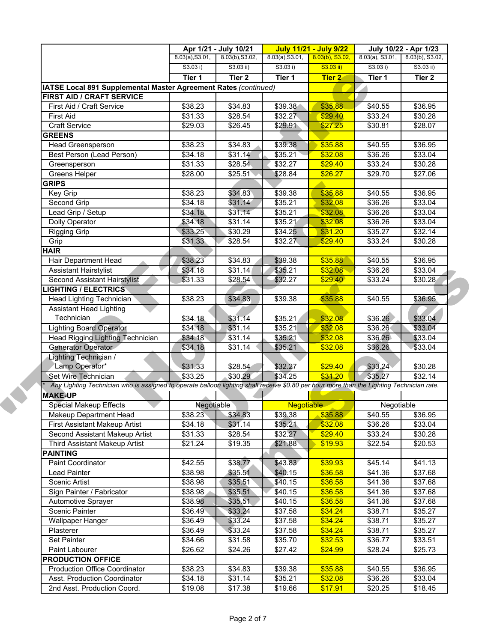|                                                                                                                                           | Apr 1/21 - July 10/21 |                   | <b>July 11/21 - July 9/22</b> |                    | July 10/22 - Apr 1/23 |                     |
|-------------------------------------------------------------------------------------------------------------------------------------------|-----------------------|-------------------|-------------------------------|--------------------|-----------------------|---------------------|
|                                                                                                                                           | 8.03(a), S3.01,       | 8.03(b), S3.02,   | 8.03(a), S3.01,               | $8.03(b)$ , S3.02, | $8.03(a)$ , S3.01,    | 8.03(b), S3.02,     |
|                                                                                                                                           | S3.03 i)              | $S3.03$ ii)       | S3.03 i)                      | S3.03 ii)          | S3.03 i)              | $S3.03$ ii)         |
|                                                                                                                                           | Tier 1                | Tier <sub>2</sub> | Tier 1                        | <b>Tier 2</b>      | Tier 1                | Tier 2              |
| IATSE Local 891 Supplemental Master Agreement Rates (continued)                                                                           |                       |                   |                               |                    |                       |                     |
| FIRST AID / CRAFT SERVICE                                                                                                                 |                       |                   |                               |                    |                       |                     |
| First Aid / Craft Service                                                                                                                 | \$38.23               | \$34.83           | \$39.38                       | \$35.88            | \$40.55               | \$36.95             |
| <b>First Aid</b>                                                                                                                          | \$31.33               | \$28.54           | \$32.27                       | \$29.40            | \$33.24               | \$30.28             |
| <b>Craft Service</b>                                                                                                                      | \$29.03               | \$26.45           | \$29.91                       | \$27.25            | \$30.81               | \$28.07             |
| <b>GREENS</b>                                                                                                                             |                       |                   |                               |                    |                       |                     |
| <b>Head Greensperson</b>                                                                                                                  | \$38.23               | \$34.83           | \$39.38                       | \$35.88            | \$40.55               | \$36.95             |
| Best Person (Lead Person)                                                                                                                 | \$34.18               | \$31.14           | \$35.21                       | \$32.08            | \$36.26               | $\overline{$}33.04$ |
| Greensperson                                                                                                                              | \$31.33               | \$28.54           | \$32.27                       | \$29.40            | \$33.24               | \$30.28             |
| Greens Helper                                                                                                                             | \$28.00               | \$25.51           | \$28.84                       | \$26.27            | \$29.70               | \$27.06             |
| <b>GRIPS</b>                                                                                                                              |                       |                   |                               |                    |                       |                     |
| Key Grip                                                                                                                                  | \$38.23               | \$34.83           | $\overline{$}39.38$           | \$35.88            | \$40.55               | \$36.95             |
| Second Grip                                                                                                                               | \$34.18               | \$31.14           | \$35.21                       | \$32.08            | \$36.26               | \$33.04             |
| Lead Grip / Setup                                                                                                                         | \$34.18               | \$31.14           | \$35.21                       | \$32.08            | \$36.26               | \$33.04             |
| Dolly Operator                                                                                                                            | \$34.18               | \$31.14           | \$35.21                       | \$32.08            | \$36.26               | \$33.04             |
| <b>Rigging Grip</b>                                                                                                                       | \$33.25               | \$30.29           | \$34.25                       | \$31.20            | \$35.27               | \$32.14             |
| Grip                                                                                                                                      | \$31.33               | \$28.54           | \$32.27                       | \$29.40            | \$33.24               | \$30.28             |
| <b>HAIR</b>                                                                                                                               |                       |                   |                               |                    |                       |                     |
| Hair Department Head                                                                                                                      | \$38.23               | \$34.83           | \$39.38                       | \$35.88            | \$40.55               | \$36.95             |
| <b>Assistant Hairstylist</b>                                                                                                              | \$34.18               | \$31.14           | \$35.21                       | \$32.08            | \$36.26               | \$33.04             |
| Second Assistant Hairstylist                                                                                                              | \$31.33               | \$28.54           | \$32.27                       | \$29.40            | \$33.24               | \$30.28             |
| <b>LIGHTING / ELECTRICS</b>                                                                                                               |                       |                   |                               |                    |                       |                     |
| Head Lighting Technician                                                                                                                  | \$38.23               | \$34.83           | \$39.38                       | \$35.88            | \$40.55               | \$36.95             |
| <b>Assistant Head Lighting</b>                                                                                                            |                       |                   |                               |                    |                       |                     |
| Technician                                                                                                                                | \$34.18               | \$31.14           | \$35.21                       | \$32.08            | \$36.26               | \$33.04             |
| <b>Lighting Board Operator</b>                                                                                                            | \$34.18               | \$31.14           | \$35.21                       | \$32.08            | \$36.26               | \$33.04             |
| <b>Head Rigging Lighting Technician</b>                                                                                                   | \$34.18               | \$31.14           | $\overline{$}35.21$           | \$32.08            | \$36.26               | \$33.04             |
| Generator Operator                                                                                                                        | \$34.18               | \$31.14           | \$35.21                       | \$32.08            | \$36.26               | \$33.04             |
| Lighting Technician /                                                                                                                     |                       |                   |                               |                    |                       |                     |
| Lamp Operator*                                                                                                                            | \$31.33               | \$28.54           | \$32.27                       | \$29.40            | \$33.24               | \$30.28             |
| Set Wire Technician                                                                                                                       | \$33.25               | \$30.29           | \$34.25                       | \$31.20            | \$35.27               | \$32.14             |
| Any Lighting Technician who is assigned to operate balloon lighting shall receive \$0.80 per hour more than the Lighting Technician rate. |                       |                   |                               |                    |                       |                     |
| <b>MAKE-UP</b>                                                                                                                            |                       |                   |                               |                    |                       |                     |
| <b>Special Makeup Effects</b>                                                                                                             | Negotiable            |                   | <b>Negotiable</b>             |                    | Negotiable            |                     |
| Makeup Department Head                                                                                                                    | \$38.23               | \$34.83           | \$39.38                       | \$35.88            | \$40.55               | \$36.95             |
| First Assistant Makeup Artist                                                                                                             | \$34.18               | \$31.14           | \$35.21                       | \$32.08            | \$36.26               | \$33.04             |
| Second Assistant Makeup Artist                                                                                                            | \$31.33               | \$28.54           | \$32.27                       | \$29.40            | \$33.24               | \$30.28             |
| Third Assistant Makeup Artist                                                                                                             |                       |                   |                               |                    |                       |                     |
|                                                                                                                                           | \$21.24               | \$19.35           | \$21.88                       | \$19.93            | \$22.54               | \$20.53             |
| <b>PAINTING</b>                                                                                                                           |                       |                   |                               | \$39.93            |                       |                     |
| <b>Paint Coordinator</b>                                                                                                                  | \$42.55               | \$38.77           | \$43.83                       |                    | \$45.14               | \$41.13             |
| <b>Lead Painter</b>                                                                                                                       | \$38.98               | \$35.51           | \$40.15                       | \$36.58            | \$41.36               | \$37.68             |
| Scenic Artist                                                                                                                             | \$38.98               | \$35.51           | \$40.15                       | \$36.58            | \$41.36               | \$37.68             |
| Sign Painter / Fabricator                                                                                                                 | \$38.98               | \$35.51           | \$40.15                       | \$36.58            | \$41.36               | \$37.68             |
| Automotive Sprayer                                                                                                                        | \$38.98               | \$35.51           | \$40.15                       | \$36.58            | \$41.36               | \$37.68             |
| Scenic Painter                                                                                                                            | \$36.49               | \$33.24           | $\overline{$}37.58$           | \$34.24            | \$38.71               | \$35.27             |
| <b>Wallpaper Hanger</b>                                                                                                                   | \$36.49               | \$33.24           | \$37.58                       | \$34.24            | \$38.71               | \$35.27             |
| Plasterer                                                                                                                                 | \$36.49               | \$33.24           | \$37.58                       | \$34.24            | \$38.71               | \$35.27             |
| Set Painter                                                                                                                               | \$34.66               | \$31.58           | \$35.70                       | \$32.53            | \$36.77               | \$33.51             |
| Paint Labourer                                                                                                                            | \$26.62               | \$24.26           | \$27.42                       | \$24.99            | \$28.24               | \$25.73             |
| <b>PRODUCTION OFFICE</b>                                                                                                                  |                       |                   |                               |                    |                       |                     |
|                                                                                                                                           |                       | \$34.83           | \$39.38                       | \$35.88            | \$40.55               | \$36.95             |
| <b>Production Office Coordinator</b>                                                                                                      | \$38.23               |                   |                               |                    |                       |                     |
| Asst. Production Coordinator<br>2nd Asst. Production Coord.                                                                               | \$34.18               | \$31.14           | \$35.21                       | \$32.08            | \$36.26               | $\overline{$}33.04$ |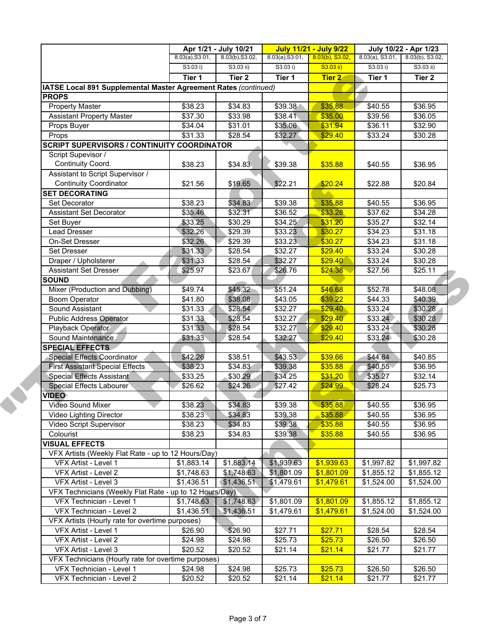|                                                                 | Apr 1/21 - July 10/21 |                                    |            | <b>July 11/21 - July 9/22</b> | July 10/22 - Apr 1/23 |                 |
|-----------------------------------------------------------------|-----------------------|------------------------------------|------------|-------------------------------|-----------------------|-----------------|
|                                                                 | 8.03(a), S3.01,       | 8.03(b), S3.02,<br>8.03(a), S3.01, |            | $8.03(b)$ , S3.02,            | $8.03(a)$ , S3.01,    | 8.03(b), S3.02, |
|                                                                 | S3.03 i)              | $S3.03$ ii)                        | S3.03 i)   | S3.03 ii)                     | S3.03 i)              | $S3.03$ ii)     |
|                                                                 | Tier 1                | Tier <sub>2</sub>                  | Tier 1     | <b>Tier 2</b>                 | Tier 1                | Tier 2          |
| IATSE Local 891 Supplemental Master Agreement Rates (continued) |                       |                                    |            |                               |                       |                 |
| <b>PROPS</b>                                                    |                       |                                    |            |                               |                       |                 |
| <b>Property Master</b>                                          | \$38.23               | \$34.83                            | \$39.38    | \$35.88                       | \$40.55               | \$36.95         |
| <b>Assistant Property Master</b>                                | \$37.30               | \$33.98                            | \$38.41    | \$35.00                       | \$39.56               | \$36.05         |
| Props Buyer                                                     | \$34.04               | \$31.01                            | \$35.06    | \$31.94                       | \$36.11               | \$32.90         |
| Props                                                           | \$31.33               | \$28.54                            | \$32.27    | \$29.40                       | \$33.24               | \$30.28         |
| <b>SCRIPT SUPERVISORS / CONTINUITY COORDINATOR</b>              |                       |                                    |            |                               |                       |                 |
| Script Supevisor /                                              |                       |                                    |            |                               |                       |                 |
| Continuity Coord.                                               | \$38.23               | \$34.83                            | \$39.38    | \$35.88                       | \$40.55               | \$36.95         |
| Assistant to Script Supervisor /                                |                       |                                    |            |                               |                       |                 |
| <b>Continuity Coordinator</b>                                   | \$21.56               | \$19.65                            | \$22.21    | \$20.24                       | \$22.88               | \$20.84         |
| <b>SET DECORATING</b>                                           |                       |                                    |            |                               |                       |                 |
| Set Decorator                                                   | \$38.23               | \$34.83                            | \$39.38    | \$35.88                       | \$40.55               | \$36.95         |
| <b>Assistant Set Decorator</b>                                  | \$35.46               | \$32.31                            | \$36.52    | \$33.28                       | \$37.62               | \$34.28         |
| Set Buyer                                                       | \$33.25               | \$30.29                            | \$34.25    | \$31.20                       | \$35.27               | \$32.14         |
| Lead Dresser                                                    | \$32.26               | \$29.39                            | \$33.23    | \$30.27                       | \$34.23               | \$31.18         |
| On-Set Dresser                                                  | \$32.26               | \$29.39                            | \$33.23    | \$30.27                       | \$34.23               | \$31.18         |
| <b>Set Dresser</b>                                              | \$31.33               | \$28.54                            | \$32.27    | \$29.40                       | \$33.24               | \$30.28         |
| Draper / Upholsterer                                            | \$31.33               | \$28.54                            | \$32.27    | \$29.40                       | \$33.24               | \$30.28         |
| <b>Assistant Set Dresser</b>                                    | \$25.97               | \$23.67                            | \$26.76    | \$24.38                       | \$27.56               | \$25.11         |
| <b>SOUND</b>                                                    |                       |                                    |            |                               |                       |                 |
| Mixer (Production and Dubbing)                                  | \$49.74               | \$45.32                            | \$51.24    | \$46.68                       | \$52.78               | \$48.08         |
| <b>Boom Operator</b>                                            | \$41.80               | \$38.08                            | \$43.05    | \$39.22                       | \$44.33               | \$40.39         |
| Sound Assistant                                                 | \$31.33               | \$28.54                            | \$32.27    | \$29.40                       | \$33.24               | \$30.28         |
| <b>Public Address Operator</b>                                  | \$31.33               | \$28.54                            | \$32.27    | \$29.40                       | \$33.24               | \$30.28         |
| Playback Operator                                               | \$31.33               | \$28.54                            | \$32.27    | \$29.40                       | \$33.24               | \$30.28         |
| Sound Maintenance                                               | \$31.33               | \$28.54                            | \$32.27    | \$29.40                       | \$33.24               | \$30.28         |
| <b>SPECIAL EFFECTS</b>                                          |                       |                                    |            |                               |                       |                 |
| Special Effects Coordinator                                     | \$42.26               | \$38.51                            | \$43.53    | \$39.66                       | \$44.84               | \$40.85         |
| <b>First Assistant Special Effects</b>                          | \$38.23               | \$34.83                            | \$39.38    | \$35.88                       | \$40.55               | \$36.95         |
| Special Effects Assistant                                       | \$33.25               | \$30.29                            | \$34.25    | \$31.20                       | \$35.27               | \$32.14         |
| <b>Special Effects Labourer</b>                                 | \$26.62               | \$24.26                            | \$27.42    | \$24.99                       | \$28.24               | \$25.73         |
| <b>VIDEO</b>                                                    |                       |                                    |            |                               |                       |                 |
| Video Sound Mixer                                               | \$38.23               | \$34.83                            | \$39.38    | \$35.88                       | \$40.55               | \$36.95         |
| Video Lighting Director                                         | \$38.23               | \$34.83                            | \$39.38    | \$35.88                       | \$40.55               | \$36.95         |
| Video Script Supervisor                                         | \$38.23               | \$34.83                            | \$39.38    | \$35.88                       | \$40.55               | \$36.95         |
| Colourist                                                       | \$38.23               | \$34.83                            | \$39.38    | \$35.88                       | \$40.55               | \$36.95         |
| <b>VISUAL EFFECTS</b>                                           |                       |                                    |            |                               |                       |                 |
| VFX Artists (Weekly Flat Rate - up to 12 Hours/Day)             |                       |                                    |            |                               |                       |                 |
| VFX Artist - Level 1                                            | \$1,883.14            | \$1,883.14                         | \$1,939.63 | \$1,939.63                    | \$1,997.82            | \$1,997.82      |
| VFX Artist - Level 2                                            | \$1,748.63            | \$1,748.63                         | \$1,801.09 | \$1,801.09                    | \$1,855.12            | \$1,855.12      |
| VFX Artist - Level 3                                            | \$1,436.51            | \$1,436.51                         | \$1,479.61 | \$1,479.61                    | \$1,524.00            | \$1,524.00      |
| VFX Technicians (Weekly Flat Rate - up to 12 Hours/Day)         |                       |                                    |            |                               |                       |                 |
| VFX Technician - Level 1                                        | \$1,748.63            | \$1,748.63                         | \$1,801.09 | \$1,801.09                    | \$1,855.12            | \$1,855.12      |
| VFX Technician - Level 2                                        | \$1,436.51            | \$1,436.51                         | \$1,479.61 | \$1,479.61                    | \$1,524.00            | \$1,524.00      |
| VFX Artists (Hourly rate for overtime purposes)                 |                       |                                    |            |                               |                       |                 |
| VFX Artist - Level 1                                            |                       | \$26.90                            |            |                               | \$28.54               | \$28.54         |
|                                                                 | \$26.90               |                                    | \$27.71    | \$27.71                       |                       |                 |
| VFX Artist - Level 2                                            | \$24.98               | \$24.98                            | \$25.73    | \$25.73                       | \$26.50               | \$26.50         |
| VFX Artist - Level 3                                            | \$20.52               | \$20.52                            | \$21.14    | \$21.14                       | \$21.77               | \$21.77         |
| VFX Technicians (Hourly rate for overtime purposes)             |                       |                                    |            |                               |                       |                 |
| VFX Technician - Level 1                                        | \$24.98               | \$24.98                            | \$25.73    | \$25.73                       | \$26.50               | \$26.50         |
| VFX Technician - Level 2                                        | \$20.52               | \$20.52                            | \$21.14    | \$21.14                       | \$21.77               | \$21.77         |